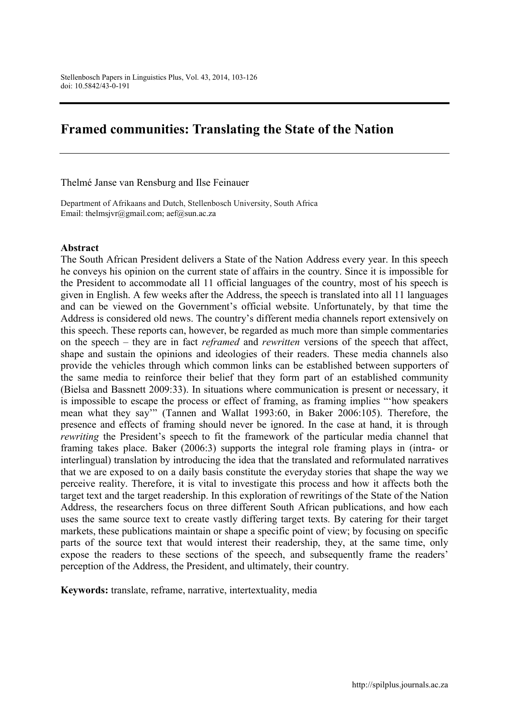# Framed communities: Translating the State of the Nation

Thelmé Janse van Rensburg and Ilse Feinauer

Department of Afrikaans and Dutch, Stellenbosch University, South Africa Email: [thelmsjvr@gmail.com](mailto:thelmsjvr@gmail.com); aef@sun.ac.za

#### Abstract

The South African President delivers a State of the Nation Address every year. In this speech he conveys his opinion on the current state of affairs in the country. Since it is impossible for the President to accommodate all 11 official languages of the country, most of his speech is given in English. A few weeks after the Address, the speech is translated into all 11 languages and can be viewed on the Government's official website. Unfortunately, by that time the Address is considered old news. The country's different media channels report extensively on this speech. These reports can, however, be regarded as much more than simple commentaries on the speech – they are in fact *reframed* and *rewritten* versions of the speech that affect, shape and sustain the opinions and ideologies of their readers. These media channels also provide the vehicles through which common links can be established between supporters of the same media to reinforce their belief that they form part of an established community (Bielsa and Bassnett 2009:33). In situations where communication is present or necessary, it is impossible to escape the process or effect of framing, as framing implies "'how speakers mean what they say'" (Tannen and Wallat 1993:60, in Baker 2006:105). Therefore, the presence and effects of framing should never be ignored. In the case at hand, it is through *rewriting* the President's speech to fit the framework of the particular media channel that framing takes place. Baker (2006:3) supports the integral role framing plays in (intra- or interlingual) translation by introducing the idea that the translated and reformulated narratives that we are exposed to on a daily basis constitute the everyday stories that shape the way we perceive reality. Therefore, it is vital to investigate this process and how it affects both the target text and the target readership. In this exploration of rewritings of the State of the Nation Address, the researchers focus on three different South African publications, and how each uses the same source text to create vastly differing target texts. By catering for their target markets, these publications maintain or shape a specific point of view; by focusing on specific parts of the source text that would interest their readership, they, at the same time, only expose the readers to these sections of the speech, and subsequently frame the readers' perception of the Address, the President, and ultimately, their country.

Keywords: translate, reframe, narrative, intertextuality, media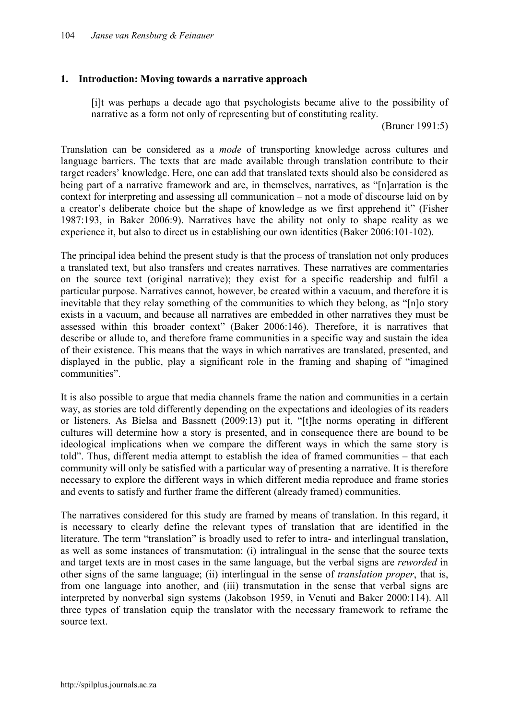## 1. Introduction: Moving towards a narrative approach

[i]t was perhaps a decade ago that psychologists became alive to the possibility of narrative as a form not only of representing but of constituting reality.

(Bruner 1991:5)

Translation can be considered as a *mode* of transporting knowledge across cultures and language barriers. The texts that are made available through translation contribute to their target readers' knowledge. Here, one can add that translated texts should also be considered as being part of a narrative framework and are, in themselves, narratives, as "[n]arration is the context for interpreting and assessing all communication – not a mode of discourse laid on by a creator's deliberate choice but the shape of knowledge as we first apprehend it" (Fisher 1987:193, in Baker 2006:9). Narratives have the ability not only to shape reality as we experience it, but also to direct us in establishing our own identities (Baker 2006:101-102).

The principal idea behind the present study is that the process of translation not only produces a translated text, but also transfers and creates narratives. These narratives are commentaries on the source text (original narrative); they exist for a specific readership and fulfil a particular purpose. Narratives cannot, however, be created within a vacuum, and therefore it is inevitable that they relay something of the communities to which they belong, as "[n]o story exists in a vacuum, and because all narratives are embedded in other narratives they must be assessed within this broader context" (Baker 2006:146). Therefore, it is narratives that describe or allude to, and therefore frame communities in a specific way and sustain the idea of their existence. This means that the ways in which narratives are translated, presented, and displayed in the public, play a significant role in the framing and shaping of "imagined communities".

It is also possible to argue that media channels frame the nation and communities in a certain way, as stories are told differently depending on the expectations and ideologies of its readers or listeners. As Bielsa and Bassnett (2009:13) put it, "[t]he norms operating in different cultures will determine how a story is presented, and in consequence there are bound to be ideological implications when we compare the different ways in which the same story is told". Thus, different media attempt to establish the idea of framed communities – that each community will only be satisfied with a particular way of presenting a narrative. It is therefore necessary to explore the different ways in which different media reproduce and frame stories and events to satisfy and further frame the different (already framed) communities.

The narratives considered for this study are framed by means of translation. In this regard, it is necessary to clearly define the relevant types of translation that are identified in the literature. The term "translation" is broadly used to refer to intra- and interlingual translation, as well as some instances of transmutation: (i) intralingual in the sense that the source texts and target texts are in most cases in the same language, but the verbal signs are *reworded* in other signs of the same language; (ii) interlingual in the sense of *translation proper*, that is, from one language into another, and (iii) transmutation in the sense that verbal signs are interpreted by nonverbal sign systems (Jakobson 1959, in Venuti and Baker 2000:114). All three types of translation equip the translator with the necessary framework to reframe the source text.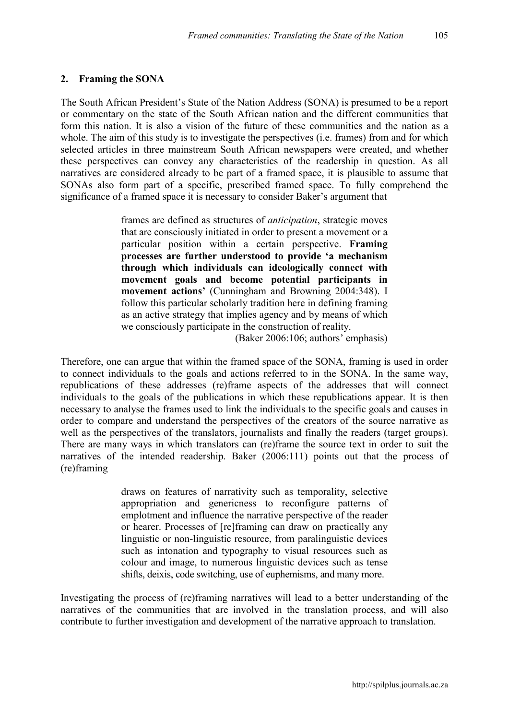#### 2. Framing the SONA

The South African President's State of the Nation Address (SONA) is presumed to be a report or commentary on the state of the South African nation and the different communities that form this nation. It is also a vision of the future of these communities and the nation as a whole. The aim of this study is to investigate the perspectives (i.e. frames) from and for which selected articles in three mainstream South African newspapers were created, and whether these perspectives can convey any characteristics of the readership in question. As all narratives are considered already to be part of a framed space, it is plausible to assume that SONAs also form part of a specific, prescribed framed space. To fully comprehend the significance of a framed space it is necessary to consider Baker's argument that

> frames are defined as structures of *anticipation*, strategic moves that are consciously initiated in order to present a movement or a particular position within a certain perspective. Framing processes are further understood to provide 'a mechanism through which individuals can ideologically connect with movement goals and become potential participants in movement actions' (Cunningham and Browning 2004:348). I follow this particular scholarly tradition here in defining framing as an active strategy that implies agency and by means of which we consciously participate in the construction of reality.

> > (Baker 2006:106; authors' emphasis)

Therefore, one can argue that within the framed space of the SONA, framing is used in order to connect individuals to the goals and actions referred to in the SONA. In the same way, republications of these addresses (re)frame aspects of the addresses that will connect individuals to the goals of the publications in which these republications appear. It is then necessary to analyse the frames used to link the individuals to the specific goals and causes in order to compare and understand the perspectives of the creators of the source narrative as well as the perspectives of the translators, journalists and finally the readers (target groups). There are many ways in which translators can (re)frame the source text in order to suit the narratives of the intended readership. Baker (2006:111) points out that the process of (re)framing

> draws on features of narrativity such as temporality, selective appropriation and genericness to reconfigure patterns of emplotment and influence the narrative perspective of the reader or hearer. Processes of [re]framing can draw on practically any linguistic or non-linguistic resource, from paralinguistic devices such as intonation and typography to visual resources such as colour and image, to numerous linguistic devices such as tense shifts, deixis, code switching, use of euphemisms, and many more.

Investigating the process of (re)framing narratives will lead to a better understanding of the narratives of the communities that are involved in the translation process, and will also contribute to further investigation and development of the narrative approach to translation.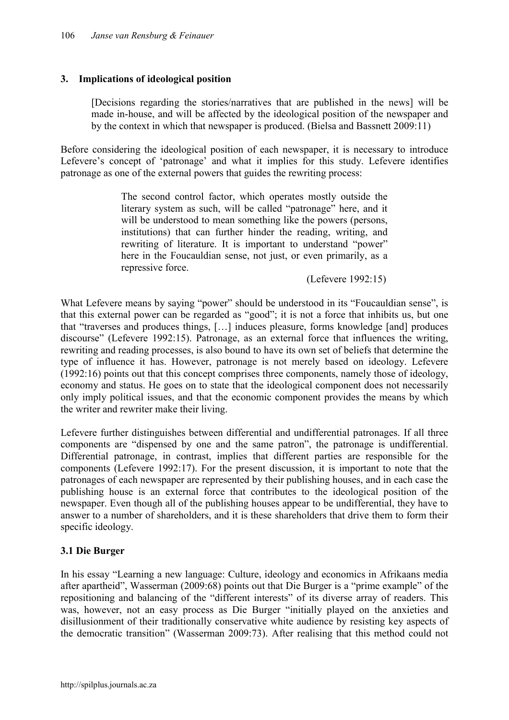## 3. Implications of ideological position

[Decisions regarding the stories/narratives that are published in the news] will be made in-house, and will be affected by the ideological position of the newspaper and by the context in which that newspaper is produced. (Bielsa and Bassnett 2009:11)

Before considering the ideological position of each newspaper, it is necessary to introduce Lefevere's concept of 'patronage' and what it implies for this study. Lefevere identifies patronage as one of the external powers that guides the rewriting process:

> The second control factor, which operates mostly outside the literary system as such, will be called "patronage" here, and it will be understood to mean something like the powers (persons, institutions) that can further hinder the reading, writing, and rewriting of literature. It is important to understand "power" here in the Foucauldian sense, not just, or even primarily, as a repressive force.

> > (Lefevere 1992:15)

What Lefevere means by saying "power" should be understood in its "Foucauldian sense", is that this external power can be regarded as "good"; it is not a force that inhibits us, but one that "traverses and produces things, […] induces pleasure, forms knowledge [and] produces discourse" (Lefevere 1992:15). Patronage, as an external force that influences the writing, rewriting and reading processes, is also bound to have its own set of beliefs that determine the type of influence it has. However, patronage is not merely based on ideology. Lefevere (1992:16) points out that this concept comprises three components, namely those of ideology, economy and status. He goes on to state that the ideological component does not necessarily only imply political issues, and that the economic component provides the means by which the writer and rewriter make their living.

Lefevere further distinguishes between differential and undifferential patronages. If all three components are "dispensed by one and the same patron", the patronage is undifferential. Differential patronage, in contrast, implies that different parties are responsible for the components (Lefevere 1992:17). For the present discussion, it is important to note that the patronages of each newspaper are represented by their publishing houses, and in each case the publishing house is an external force that contributes to the ideological position of the newspaper. Even though all of the publishing houses appear to be undifferential, they have to answer to a number of shareholders, and it is these shareholders that drive them to form their specific ideology.

## 3.1 Die Burger

In his essay "Learning a new language: Culture, ideology and economics in Afrikaans media after apartheid", Wasserman (2009:68) points out that Die Burger is a "prime example" of the repositioning and balancing of the "different interests" of its diverse array of readers. This was, however, not an easy process as Die Burger "initially played on the anxieties and disillusionment of their traditionally conservative white audience by resisting key aspects of the democratic transition" (Wasserman 2009:73). After realising that this method could not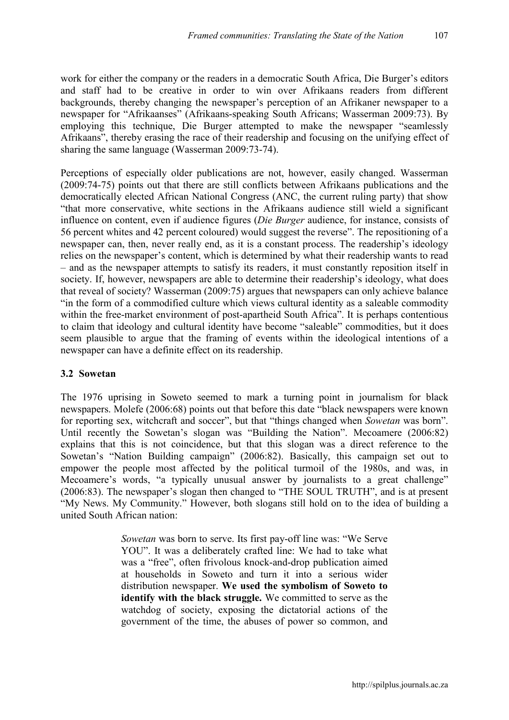work for either the company or the readers in a democratic South Africa, Die Burger's editors and staff had to be creative in order to win over Afrikaans readers from different backgrounds, thereby changing the newspaper's perception of an Afrikaner newspaper to a newspaper for "Afrikaanses" (Afrikaans-speaking South Africans; Wasserman 2009:73). By employing this technique, Die Burger attempted to make the newspaper "seamlessly Afrikaans", thereby erasing the race of their readership and focusing on the unifying effect of sharing the same language (Wasserman 2009:73-74).

Perceptions of especially older publications are not, however, easily changed. Wasserman (2009:74-75) points out that there are still conflicts between Afrikaans publications and the democratically elected African National Congress (ANC, the current ruling party) that show "that more conservative, white sections in the Afrikaans audience still wield a significant influence on content, even if audience figures (*Die Burger* audience, for instance, consists of 56 percent whites and 42 percent coloured) would suggest the reverse". The repositioning of a newspaper can, then, never really end, as it is a constant process. The readership's ideology relies on the newspaper's content, which is determined by what their readership wants to read – and as the newspaper attempts to satisfy its readers, it must constantly reposition itself in society. If, however, newspapers are able to determine their readership's ideology, what does that reveal of society? Wasserman (2009:75) argues that newspapers can only achieve balance "in the form of a commodified culture which views cultural identity as a saleable commodity within the free-market environment of post-apartheid South Africa". It is perhaps contentious to claim that ideology and cultural identity have become "saleable" commodities, but it does seem plausible to argue that the framing of events within the ideological intentions of a newspaper can have a definite effect on its readership.

## 3.2 Sowetan

The 1976 uprising in Soweto seemed to mark a turning point in journalism for black newspapers. Molefe (2006:68) points out that before this date "black newspapers were known for reporting sex, witchcraft and soccer", but that "things changed when *Sowetan* was born". Until recently the Sowetan's slogan was "Building the Nation". Mecoamere (2006:82) explains that this is not coincidence, but that this slogan was a direct reference to the Sowetan's "Nation Building campaign" (2006:82). Basically, this campaign set out to empower the people most affected by the political turmoil of the 1980s, and was, in Mecoamere's words, "a typically unusual answer by journalists to a great challenge" (2006:83). The newspaper's slogan then changed to "THE SOUL TRUTH", and is at present "My News. My Community." However, both slogans still hold on to the idea of building a united South African nation:

> *Sowetan* was born to serve. Its first pay-off line was: "We Serve YOU". It was a deliberately crafted line: We had to take what was a "free", often frivolous knock-and-drop publication aimed at households in Soweto and turn it into a serious wider distribution newspaper. We used the symbolism of Soweto to identify with the black struggle. We committed to serve as the watchdog of society, exposing the dictatorial actions of the government of the time, the abuses of power so common, and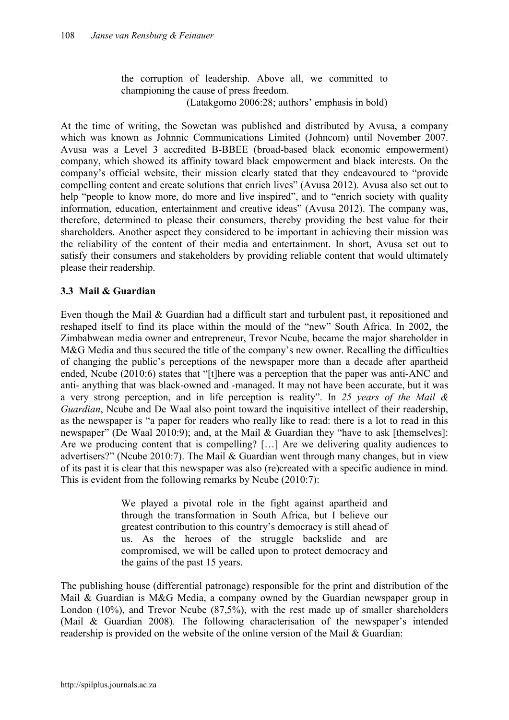the corruption of leadership. Above all, we committed to championing the cause of press freedom. (Latakgomo 2006:28; authors' emphasis in bold)

At the time of writing, the Sowetan was published and distributed by Avusa, a company which was known as Johnnic Communications Limited (Johncom) until November 2007. Avusa was a Level 3 accredited B-BBEE (broad-based black economic empowerment) company, which showed its affinity toward black empowerment and black interests. On the company's official website, their mission clearly stated that they endeavoured to "provide compelling content and create solutions that enrich lives" (Avusa 2012). Avusa also set out to help "people to know more, do more and live inspired", and to "enrich society with quality information, education, entertainment and creative ideas" (Avusa 2012). The company was, therefore, determined to please their consumers, thereby providing the best value for their shareholders. Another aspect they considered to be important in achieving their mission was the reliability of the content of their media and entertainment. In short, Avusa set out to satisfy their consumers and stakeholders by providing reliable content that would ultimately please their readership.

## 3.3 Mail & Guardian

Even though the Mail & Guardian had a difficult start and turbulent past, it repositioned and reshaped itself to find its place within the mould of the "new" South Africa. In 2002, the Zimbabwean media owner and entrepreneur, Trevor Ncube, became the major shareholder in M&G Media and thus secured the title of the company's new owner. Recalling the difficulties of changing the public's perceptions of the newspaper more than a decade after apartheid ended, Ncube (2010:6) states that "[t]here was a perception that the paper was anti-ANC and anti- anything that was black-owned and -managed. It may not have been accurate, but it was a very strong perception, and in life perception is reality". In *25 years of the Mail & Guardian*, Ncube and De Waal also point toward the inquisitive intellect of their readership, as the newspaper is "a paper for readers who really like to read: there is a lot to read in this newspaper" (De Waal 2010:9); and, at the Mail & Guardian they "have to ask [themselves]: Are we producing content that is compelling? […] Are we delivering quality audiences to advertisers?" (Ncube 2010:7). The Mail & Guardian went through many changes, but in view of its past it is clear that this newspaper was also (re)created with a specific audience in mind. This is evident from the following remarks by Ncube (2010:7):

> We played a pivotal role in the fight against apartheid and through the transformation in South Africa, but I believe our greatest contribution to this country's democracy is still ahead of us. As the heroes of the struggle backslide and are compromised, we will be called upon to protect democracy and the gains of the past 15 years.

The publishing house (differential patronage) responsible for the print and distribution of the Mail & Guardian is M&G Media, a company owned by the Guardian newspaper group in London (10%), and Trevor Ncube (87,5%), with the rest made up of smaller shareholders (Mail & Guardian 2008). The following characterisation of the newspaper's intended readership is provided on the website of the online version of the Mail & Guardian: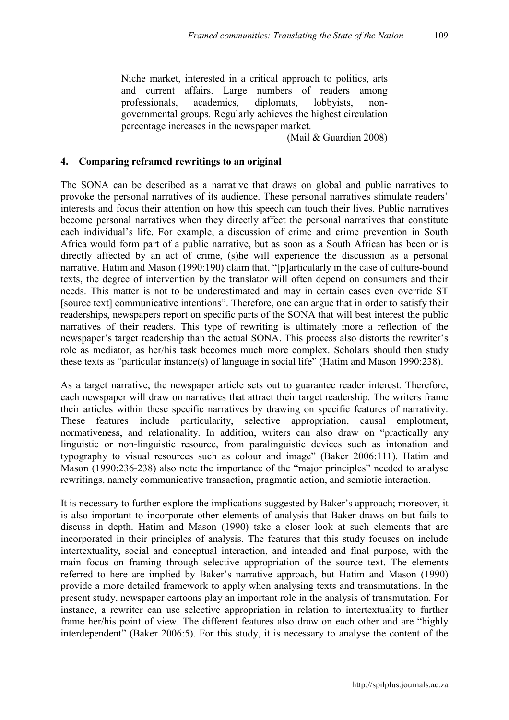Niche market, interested in a critical approach to politics, arts and current affairs. Large numbers of readers among professionals, academics, diplomats, lobbyists, nongovernmental groups. Regularly achieves the highest circulation percentage increases in the newspaper market.

(Mail & Guardian 2008)

## 4. Comparing reframed rewritings to an original

The SONA can be described as a narrative that draws on global and public narratives to provoke the personal narratives of its audience. These personal narratives stimulate readers' interests and focus their attention on how this speech can touch their lives. Public narratives become personal narratives when they directly affect the personal narratives that constitute each individual's life. For example, a discussion of crime and crime prevention in South Africa would form part of a public narrative, but as soon as a South African has been or is directly affected by an act of crime, (s)he will experience the discussion as a personal narrative. Hatim and Mason (1990:190) claim that, "[p]articularly in the case of culture-bound texts, the degree of intervention by the translator will often depend on consumers and their needs. This matter is not to be underestimated and may in certain cases even override ST [source text] communicative intentions". Therefore, one can argue that in order to satisfy their readerships, newspapers report on specific parts of the SONA that will best interest the public narratives of their readers. This type of rewriting is ultimately more a reflection of the newspaper's target readership than the actual SONA. This process also distorts the rewriter's role as mediator, as her/his task becomes much more complex. Scholars should then study these texts as "particular instance(s) of language in social life" (Hatim and Mason 1990:238).

As a target narrative, the newspaper article sets out to guarantee reader interest. Therefore, each newspaper will draw on narratives that attract their target readership. The writers frame their articles within these specific narratives by drawing on specific features of narrativity. These features include particularity, selective appropriation, causal emplotment, normativeness, and relationality. In addition, writers can also draw on "practically any linguistic or non-linguistic resource, from paralinguistic devices such as intonation and typography to visual resources such as colour and image" (Baker 2006:111). Hatim and Mason (1990:236-238) also note the importance of the "major principles" needed to analyse rewritings, namely communicative transaction, pragmatic action, and semiotic interaction.

It is necessary to further explore the implications suggested by Baker's approach; moreover, it is also important to incorporate other elements of analysis that Baker draws on but fails to discuss in depth. Hatim and Mason (1990) take a closer look at such elements that are incorporated in their principles of analysis. The features that this study focuses on include intertextuality, social and conceptual interaction, and intended and final purpose, with the main focus on framing through selective appropriation of the source text. The elements referred to here are implied by Baker's narrative approach, but Hatim and Mason (1990) provide a more detailed framework to apply when analysing texts and transmutations. In the present study, newspaper cartoons play an important role in the analysis of transmutation. For instance, a rewriter can use selective appropriation in relation to intertextuality to further frame her/his point of view. The different features also draw on each other and are "highly interdependent" (Baker 2006:5). For this study, it is necessary to analyse the content of the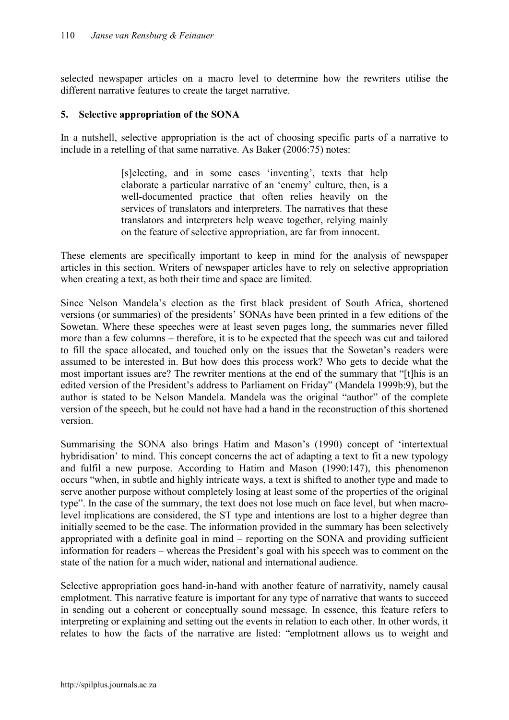selected newspaper articles on a macro level to determine how the rewriters utilise the different narrative features to create the target narrative.

## 5. Selective appropriation of the SONA

In a nutshell, selective appropriation is the act of choosing specific parts of a narrative to include in a retelling of that same narrative. As Baker (2006:75) notes:

> [s]electing, and in some cases 'inventing', texts that help elaborate a particular narrative of an 'enemy' culture, then, is a well-documented practice that often relies heavily on the services of translators and interpreters. The narratives that these translators and interpreters help weave together, relying mainly on the feature of selective appropriation, are far from innocent.

These elements are specifically important to keep in mind for the analysis of newspaper articles in this section. Writers of newspaper articles have to rely on selective appropriation when creating a text, as both their time and space are limited.

Since Nelson Mandela's election as the first black president of South Africa, shortened versions (or summaries) of the presidents' SONAs have been printed in a few editions of the Sowetan. Where these speeches were at least seven pages long, the summaries never filled more than a few columns – therefore, it is to be expected that the speech was cut and tailored to fill the space allocated, and touched only on the issues that the Sowetan's readers were assumed to be interested in. But how does this process work? Who gets to decide what the most important issues are? The rewriter mentions at the end of the summary that "[t]his is an edited version of the President's address to Parliament on Friday" (Mandela 1999b:9), but the author is stated to be Nelson Mandela. Mandela was the original "author" of the complete version of the speech, but he could not have had a hand in the reconstruction of this shortened version.

Summarising the SONA also brings Hatim and Mason's (1990) concept of 'intertextual hybridisation' to mind. This concept concerns the act of adapting a text to fit a new typology and fulfil a new purpose. According to Hatim and Mason (1990:147), this phenomenon occurs "when, in subtle and highly intricate ways, a text is shifted to another type and made to serve another purpose without completely losing at least some of the properties of the original type". In the case of the summary, the text does not lose much on face level, but when macrolevel implications are considered, the ST type and intentions are lost to a higher degree than initially seemed to be the case. The information provided in the summary has been selectively appropriated with a definite goal in mind – reporting on the SONA and providing sufficient information for readers – whereas the President's goal with his speech was to comment on the state of the nation for a much wider, national and international audience.

Selective appropriation goes hand-in-hand with another feature of narrativity, namely causal emplotment. This narrative feature is important for any type of narrative that wants to succeed in sending out a coherent or conceptually sound message. In essence, this feature refers to interpreting or explaining and setting out the events in relation to each other. In other words, it relates to how the facts of the narrative are listed: "emplotment allows us to weight and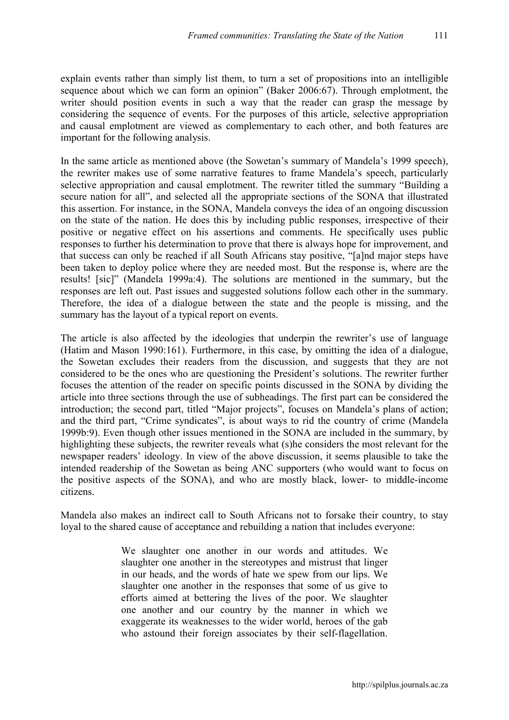explain events rather than simply list them, to turn a set of propositions into an intelligible sequence about which we can form an opinion" (Baker 2006:67). Through emplotment, the writer should position events in such a way that the reader can grasp the message by considering the sequence of events. For the purposes of this article, selective appropriation and causal emplotment are viewed as complementary to each other, and both features are important for the following analysis.

In the same article as mentioned above (the Sowetan's summary of Mandela's 1999 speech), the rewriter makes use of some narrative features to frame Mandela's speech, particularly selective appropriation and causal emplotment. The rewriter titled the summary "Building a secure nation for all", and selected all the appropriate sections of the SONA that illustrated this assertion. For instance, in the SONA, Mandela conveys the idea of an ongoing discussion on the state of the nation. He does this by including public responses, irrespective of their positive or negative effect on his assertions and comments. He specifically uses public responses to further his determination to prove that there is always hope for improvement, and that success can only be reached if all South Africans stay positive, "[a]nd major steps have been taken to deploy police where they are needed most. But the response is, where are the results! [sic]" (Mandela 1999a:4). The solutions are mentioned in the summary, but the responses are left out. Past issues and suggested solutions follow each other in the summary. Therefore, the idea of a dialogue between the state and the people is missing, and the summary has the layout of a typical report on events.

The article is also affected by the ideologies that underpin the rewriter's use of language (Hatim and Mason 1990:161). Furthermore, in this case, by omitting the idea of a dialogue, the Sowetan excludes their readers from the discussion, and suggests that they are not considered to be the ones who are questioning the President's solutions. The rewriter further focuses the attention of the reader on specific points discussed in the SONA by dividing the article into three sections through the use of subheadings. The first part can be considered the introduction; the second part, titled "Major projects", focuses on Mandela's plans of action; and the third part, "Crime syndicates", is about ways to rid the country of crime (Mandela 1999b:9). Even though other issues mentioned in the SONA are included in the summary, by highlighting these subjects, the rewriter reveals what (s)he considers the most relevant for the newspaper readers' ideology. In view of the above discussion, it seems plausible to take the intended readership of the Sowetan as being ANC supporters (who would want to focus on the positive aspects of the SONA), and who are mostly black, lower- to middle-income citizens.

Mandela also makes an indirect call to South Africans not to forsake their country, to stay loyal to the shared cause of acceptance and rebuilding a nation that includes everyone:

> We slaughter one another in our words and attitudes. We slaughter one another in the stereotypes and mistrust that linger in our heads, and the words of hate we spew from our lips. We slaughter one another in the responses that some of us give to efforts aimed at bettering the lives of the poor. We slaughter one another and our country by the manner in which we exaggerate its weaknesses to the wider world, heroes of the gab who astound their foreign associates by their self-flagellation.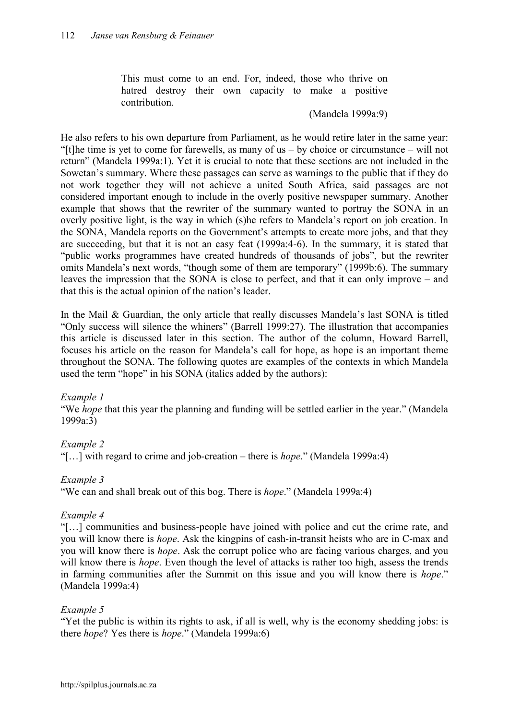This must come to an end. For, indeed, those who thrive on hatred destroy their own capacity to make a positive contribution.

#### (Mandela 1999a:9)

He also refers to his own departure from Parliament, as he would retire later in the same year: "[t]he time is yet to come for farewells, as many of us – by choice or circumstance – will not return" (Mandela 1999a:1). Yet it is crucial to note that these sections are not included in the Sowetan's summary. Where these passages can serve as warnings to the public that if they do not work together they will not achieve a united South Africa, said passages are not considered important enough to include in the overly positive newspaper summary. Another example that shows that the rewriter of the summary wanted to portray the SONA in an overly positive light, is the way in which (s)he refers to Mandela's report on job creation. In the SONA, Mandela reports on the Government's attempts to create more jobs, and that they are succeeding, but that it is not an easy feat (1999a:4-6). In the summary, it is stated that "public works programmes have created hundreds of thousands of jobs", but the rewriter omits Mandela's next words, "though some of them are temporary" (1999b:6). The summary leaves the impression that the SONA is close to perfect, and that it can only improve – and that this is the actual opinion of the nation's leader.

In the Mail & Guardian, the only article that really discusses Mandela's last SONA is titled "Only success will silence the whiners" (Barrell 1999:27). The illustration that accompanies this article is discussed later in this section. The author of the column, Howard Barrell, focuses his article on the reason for Mandela's call for hope, as hope is an important theme throughout the SONA. The following quotes are examples of the contexts in which Mandela used the term "hope" in his SONA (italics added by the authors):

#### *Example 1*

"We *hope* that this year the planning and funding will be settled earlier in the year." (Mandela 1999a:3)

## *Example 2*

"[…] with regard to crime and job-creation – there is *hope*." (Mandela 1999a:4)

#### *Example 3*

"We can and shall break out of this bog. There is *hope*." (Mandela 1999a:4)

#### *Example 4*

"[…] communities and business-people have joined with police and cut the crime rate, and you will know there is *hope*. Ask the kingpins of cash-in-transit heists who are in C-max and you will know there is *hope*. Ask the corrupt police who are facing various charges, and you will know there is *hope*. Even though the level of attacks is rather too high, assess the trends in farming communities after the Summit on this issue and you will know there is *hope*." (Mandela 1999a:4)

#### *Example 5*

"Yet the public is within its rights to ask, if all is well, why is the economy shedding jobs: is there *hope*? Yes there is *hope*." (Mandela 1999a:6)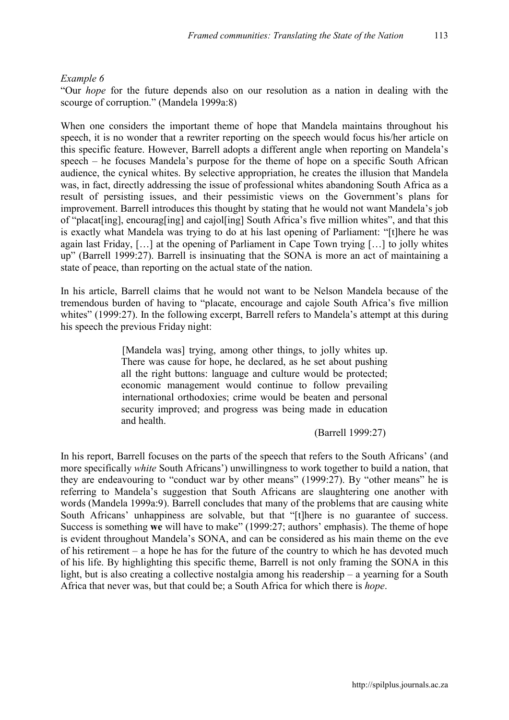#### *Example 6*

"Our *hope* for the future depends also on our resolution as a nation in dealing with the scourge of corruption." (Mandela 1999a:8)

When one considers the important theme of hope that Mandela maintains throughout his speech, it is no wonder that a rewriter reporting on the speech would focus his/her article on this specific feature. However, Barrell adopts a different angle when reporting on Mandela's speech – he focuses Mandela's purpose for the theme of hope on a specific South African audience, the cynical whites. By selective appropriation, he creates the illusion that Mandela was, in fact, directly addressing the issue of professional whites abandoning South Africa as a result of persisting issues, and their pessimistic views on the Government's plans for improvement. Barrell introduces this thought by stating that he would not want Mandela's job of "placatiing], encouraging] and cajol [ing] South Africa's five million whites", and that this is exactly what Mandela was trying to do at his last opening of Parliament: "[t]here he was again last Friday, […] at the opening of Parliament in Cape Town trying […] to jolly whites up" (Barrell 1999:27). Barrell is insinuating that the SONA is more an act of maintaining a state of peace, than reporting on the actual state of the nation.

In his article, Barrell claims that he would not want to be Nelson Mandela because of the tremendous burden of having to "placate, encourage and cajole South Africa's five million whites" (1999:27). In the following excerpt, Barrell refers to Mandela's attempt at this during his speech the previous Friday night:

> [Mandela was] trying, among other things, to jolly whites up. There was cause for hope, he declared, as he set about pushing all the right buttons: language and culture would be protected; economic management would continue to follow prevailing international orthodoxies; crime would be beaten and personal security improved; and progress was being made in education and health.

> > (Barrell 1999:27)

In his report, Barrell focuses on the parts of the speech that refers to the South Africans' (and more specifically *white* South Africans') unwillingness to work together to build a nation, that they are endeavouring to "conduct war by other means" (1999:27). By "other means" he is referring to Mandela's suggestion that South Africans are slaughtering one another with words (Mandela 1999a:9). Barrell concludes that many of the problems that are causing white South Africans' unhappiness are solvable, but that "[t]here is no guarantee of success. Success is something we will have to make" (1999:27; authors' emphasis). The theme of hope is evident throughout Mandela's SONA, and can be considered as his main theme on the eve of his retirement – a hope he has for the future of the country to which he has devoted much of his life. By highlighting this specific theme, Barrell is not only framing the SONA in this light, but is also creating a collective nostalgia among his readership – a yearning for a South Africa that never was, but that could be; a South Africa for which there is *hope*.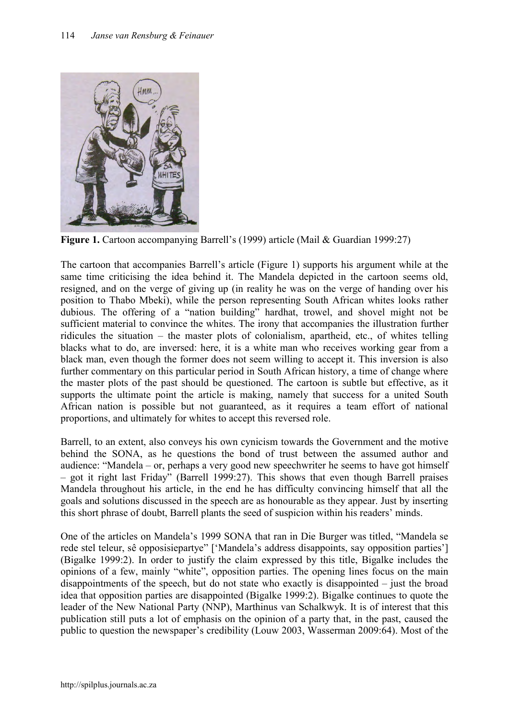

Figure 1. Cartoon accompanying Barrell's (1999) article (Mail & Guardian 1999:27)

The cartoon that accompanies Barrell's article (Figure 1) supports his argument while at the same time criticising the idea behind it. The Mandela depicted in the cartoon seems old, resigned, and on the verge of giving up (in reality he was on the verge of handing over his position to Thabo Mbeki), while the person representing South African whites looks rather dubious. The offering of a "nation building" hardhat, trowel, and shovel might not be sufficient material to convince the whites. The irony that accompanies the illustration further ridicules the situation – the master plots of colonialism, apartheid, etc., of whites telling blacks what to do, are inversed: here, it is a white man who receives working gear from a black man, even though the former does not seem willing to accept it. This inversion is also further commentary on this particular period in South African history, a time of change where the master plots of the past should be questioned. The cartoon is subtle but effective, as it supports the ultimate point the article is making, namely that success for a united South African nation is possible but not guaranteed, as it requires a team effort of national proportions, and ultimately for whites to accept this reversed role.

Barrell, to an extent, also conveys his own cynicism towards the Government and the motive behind the SONA, as he questions the bond of trust between the assumed author and audience: "Mandela – or, perhaps a very good new speechwriter he seems to have got himself – got it right last Friday" (Barrell 1999:27). This shows that even though Barrell praises Mandela throughout his article, in the end he has difficulty convincing himself that all the goals and solutions discussed in the speech are as honourable as they appear. Just by inserting this short phrase of doubt, Barrell plants the seed of suspicion within his readers' minds.

One of the articles on Mandela's 1999 SONA that ran in Die Burger was titled, "Mandela se rede stel teleur, sê opposisiepartye" ['Mandela's address disappoints, say opposition parties'] (Bigalke 1999:2). In order to justify the claim expressed by this title, Bigalke includes the opinions of a few, mainly "white", opposition parties. The opening lines focus on the main disappointments of the speech, but do not state who exactly is disappointed – just the broad idea that opposition parties are disappointed (Bigalke 1999:2). Bigalke continues to quote the leader of the New National Party (NNP), Marthinus van Schalkwyk. It is of interest that this publication still puts a lot of emphasis on the opinion of a party that, in the past, caused the public to question the newspaper's credibility (Louw 2003, Wasserman 2009:64). Most of the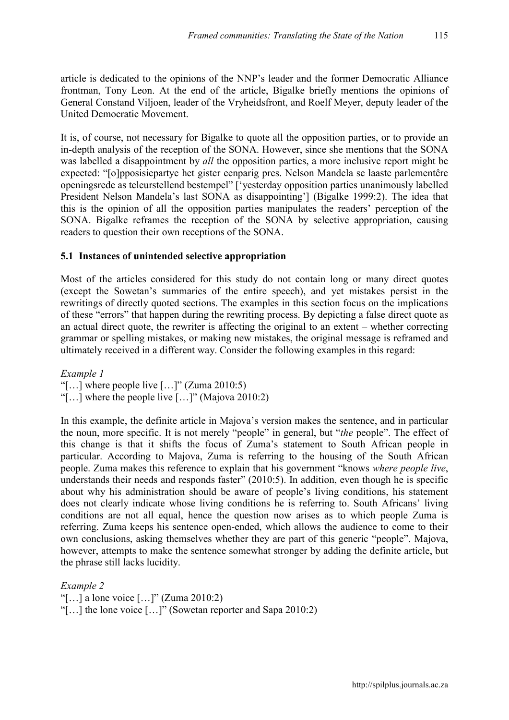article is dedicated to the opinions of the NNP's leader and the former Democratic Alliance frontman, Tony Leon. At the end of the article, Bigalke briefly mentions the opinions of General Constand Viljoen, leader of the Vryheidsfront, and Roelf Meyer, deputy leader of the United Democratic Movement.

It is, of course, not necessary for Bigalke to quote all the opposition parties, or to provide an in-depth analysis of the reception of the SONA. However, since she mentions that the SONA was labelled a disappointment by *all* the opposition parties, a more inclusive report might be expected: "[o]pposisiepartye het gister eenparig pres. Nelson Mandela se laaste parlementêre openingsrede as teleurstellend bestempel" ['yesterday opposition parties unanimously labelled President Nelson Mandela's last SONA as disappointing'] (Bigalke 1999:2). The idea that this is the opinion of all the opposition parties manipulates the readers' perception of the SONA. Bigalke reframes the reception of the SONA by selective appropriation, causing readers to question their own receptions of the SONA.

## 5.1 Instances of unintended selective appropriation

Most of the articles considered for this study do not contain long or many direct quotes (except the Sowetan's summaries of the entire speech), and yet mistakes persist in the rewritings of directly quoted sections. The examples in this section focus on the implications of these "errors" that happen during the rewriting process. By depicting a false direct quote as an actual direct quote, the rewriter is affecting the original to an extent – whether correcting grammar or spelling mistakes, or making new mistakes, the original message is reframed and ultimately received in a different way. Consider the following examples in this regard:

*Example 1* 

"[...] where people live  $[...]$ " (Zuma 2010:5)

"[…] where the people live […]" (Majova 2010:2)

In this example, the definite article in Majova's version makes the sentence, and in particular the noun, more specific. It is not merely "people" in general, but "*the* people". The effect of this change is that it shifts the focus of Zuma's statement to South African people in particular. According to Majova, Zuma is referring to the housing of the South African people. Zuma makes this reference to explain that his government "knows *where people live*, understands their needs and responds faster" (2010:5). In addition, even though he is specific about why his administration should be aware of people's living conditions, his statement does not clearly indicate whose living conditions he is referring to. South Africans' living conditions are not all equal, hence the question now arises as to which people Zuma is referring. Zuma keeps his sentence open-ended, which allows the audience to come to their own conclusions, asking themselves whether they are part of this generic "people". Majova, however, attempts to make the sentence somewhat stronger by adding the definite article, but the phrase still lacks lucidity.

*Example 2*  "[...] a lone voice  $[...]$ " (Zuma 2010:2) "[…] the lone voice […]" (Sowetan reporter and Sapa 2010:2)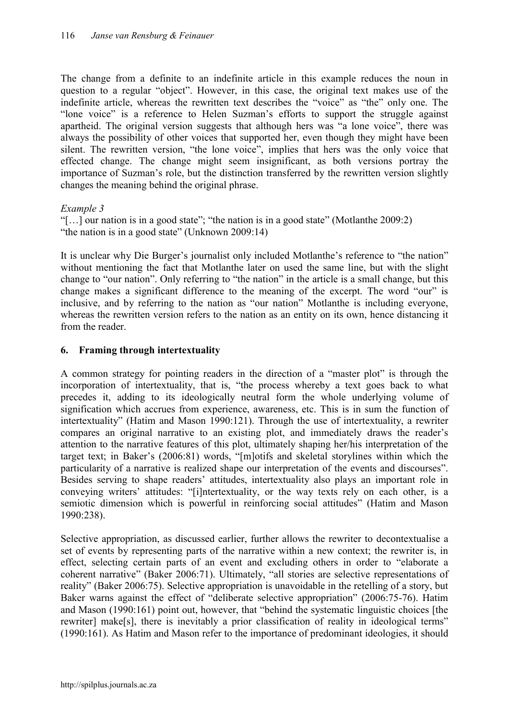The change from a definite to an indefinite article in this example reduces the noun in question to a regular "object". However, in this case, the original text makes use of the indefinite article, whereas the rewritten text describes the "voice" as "the" only one. The "lone voice" is a reference to Helen Suzman's efforts to support the struggle against apartheid. The original version suggests that although hers was "a lone voice", there was always the possibility of other voices that supported her, even though they might have been silent. The rewritten version, "the lone voice", implies that hers was the only voice that effected change. The change might seem insignificant, as both versions portray the importance of Suzman's role, but the distinction transferred by the rewritten version slightly changes the meaning behind the original phrase.

## *Example 3*

"[…] our nation is in a good state"; "the nation is in a good state" (Motlanthe 2009:2) "the nation is in a good state" (Unknown 2009:14)

It is unclear why Die Burger's journalist only included Motlanthe's reference to "the nation" without mentioning the fact that Motlanthe later on used the same line, but with the slight change to "our nation". Only referring to "the nation" in the article is a small change, but this change makes a significant difference to the meaning of the excerpt. The word "our" is inclusive, and by referring to the nation as "our nation" Motlanthe is including everyone, whereas the rewritten version refers to the nation as an entity on its own, hence distancing it from the reader

# 6. Framing through intertextuality

A common strategy for pointing readers in the direction of a "master plot" is through the incorporation of intertextuality, that is, "the process whereby a text goes back to what precedes it, adding to its ideologically neutral form the whole underlying volume of signification which accrues from experience, awareness, etc. This is in sum the function of intertextuality" (Hatim and Mason 1990:121). Through the use of intertextuality, a rewriter compares an original narrative to an existing plot, and immediately draws the reader's attention to the narrative features of this plot, ultimately shaping her/his interpretation of the target text; in Baker's (2006:81) words, "[m]otifs and skeletal storylines within which the particularity of a narrative is realized shape our interpretation of the events and discourses". Besides serving to shape readers' attitudes, intertextuality also plays an important role in conveying writers' attitudes: "[i]ntertextuality, or the way texts rely on each other, is a semiotic dimension which is powerful in reinforcing social attitudes" (Hatim and Mason 1990:238).

Selective appropriation, as discussed earlier, further allows the rewriter to decontextualise a set of events by representing parts of the narrative within a new context; the rewriter is, in effect, selecting certain parts of an event and excluding others in order to "elaborate a coherent narrative" (Baker 2006:71). Ultimately, "all stories are selective representations of reality" (Baker 2006:75). Selective appropriation is unavoidable in the retelling of a story, but Baker warns against the effect of "deliberate selective appropriation" (2006:75-76). Hatim and Mason (1990:161) point out, however, that "behind the systematic linguistic choices [the rewriter] make[s], there is inevitably a prior classification of reality in ideological terms" (1990:161). As Hatim and Mason refer to the importance of predominant ideologies, it should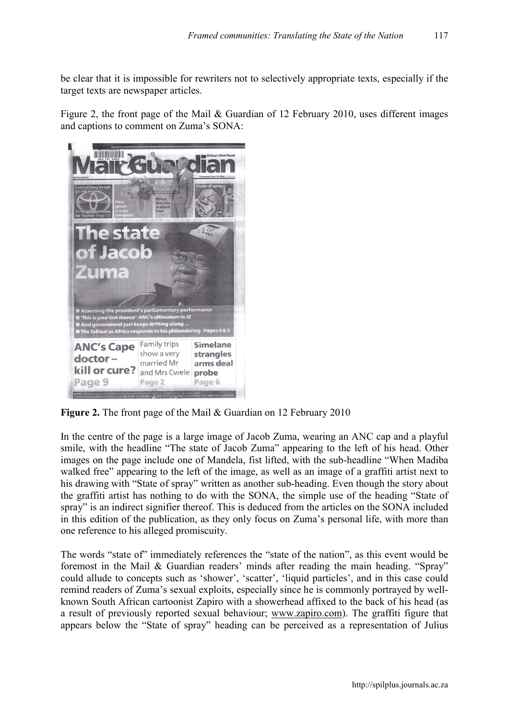be clear that it is impossible for rewriters not to selectively appropriate texts, especially if the target texts are newspaper articles.

Figure 2, the front page of the Mail & Guardian of 12 February 2010, uses different images and captions to comment on Zuma's SONA:



Figure 2. The front page of the Mail & Guardian on 12 February 2010

In the centre of the page is a large image of Jacob Zuma, wearing an ANC cap and a playful smile, with the headline "The state of Jacob Zuma" appearing to the left of his head. Other images on the page include one of Mandela, fist lifted, with the sub-headline "When Madiba walked free" appearing to the left of the image, as well as an image of a graffiti artist next to his drawing with "State of spray" written as another sub-heading. Even though the story about the graffiti artist has nothing to do with the SONA, the simple use of the heading "State of spray" is an indirect signifier thereof. This is deduced from the articles on the SONA included in this edition of the publication, as they only focus on Zuma's personal life, with more than one reference to his alleged promiscuity.

The words "state of" immediately references the "state of the nation", as this event would be foremost in the Mail & Guardian readers' minds after reading the main heading. "Spray" could allude to concepts such as 'shower', 'scatter', 'liquid particles', and in this case could remind readers of Zuma's sexual exploits, especially since he is commonly portrayed by wellknown South African cartoonist Zapiro with a showerhead affixed to the back of his head (as a result of previously reported sexual behaviour; [www.zapiro.com](http://www.zapiro.com/)). The graffiti figure that appears below the "State of spray" heading can be perceived as a representation of Julius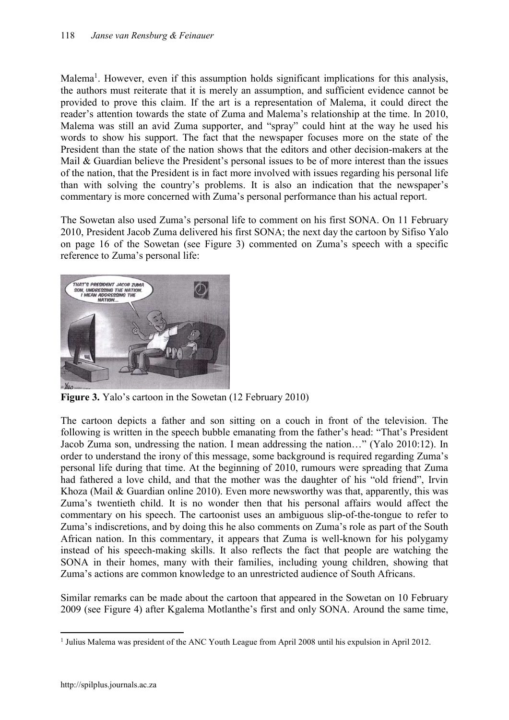Malema<sup>1</sup>. However, even if this assumption holds significant implications for this analysis, the authors must reiterate that it is merely an assumption, and sufficient evidence cannot be provided to prove this claim. If the art is a representation of Malema, it could direct the reader's attention towards the state of Zuma and Malema's relationship at the time. In 2010, Malema was still an avid Zuma supporter, and "spray" could hint at the way he used his words to show his support. The fact that the newspaper focuses more on the state of the President than the state of the nation shows that the editors and other decision-makers at the Mail & Guardian believe the President's personal issues to be of more interest than the issues of the nation, that the President is in fact more involved with issues regarding his personal life than with solving the country's problems. It is also an indication that the newspaper's commentary is more concerned with Zuma's personal performance than his actual report.

The Sowetan also used Zuma's personal life to comment on his first SONA. On 11 February 2010, President Jacob Zuma delivered his first SONA; the next day the cartoon by Sifiso Yalo on page 16 of the Sowetan (see Figure 3) commented on Zuma's speech with a specific reference to Zuma's personal life:



Figure 3. Yalo's cartoon in the Sowetan (12 February 2010)

The cartoon depicts a father and son sitting on a couch in front of the television. The following is written in the speech bubble emanating from the father's head: "That's President Jacob Zuma son, undressing the nation. I mean addressing the nation…" (Yalo 2010:12). In order to understand the irony of this message, some background is required regarding Zuma's personal life during that time. At the beginning of 2010, rumours were spreading that Zuma had fathered a love child, and that the mother was the daughter of his "old friend", Irvin Khoza (Mail & Guardian online 2010). Even more newsworthy was that, apparently, this was Zuma's twentieth child. It is no wonder then that his personal affairs would affect the commentary on his speech. The cartoonist uses an ambiguous slip-of-the-tongue to refer to Zuma's indiscretions, and by doing this he also comments on Zuma's role as part of the South African nation. In this commentary, it appears that Zuma is well-known for his polygamy instead of his speech-making skills. It also reflects the fact that people are watching the SONA in their homes, many with their families, including young children, showing that Zuma's actions are common knowledge to an unrestricted audience of South Africans.

Similar remarks can be made about the cartoon that appeared in the Sowetan on 10 February 2009 (see Figure 4) after Kgalema Motlanthe's first and only SONA. Around the same time,

 $\overline{a}$ <sup>1</sup> Julius Malema was president of the ANC Youth League from April 2008 until his expulsion in April 2012.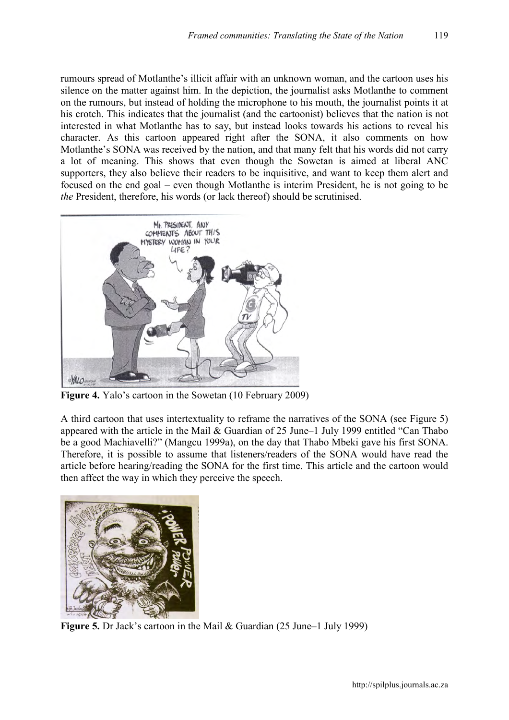rumours spread of Motlanthe's illicit affair with an unknown woman, and the cartoon uses his silence on the matter against him. In the depiction, the journalist asks Motlanthe to comment on the rumours, but instead of holding the microphone to his mouth, the journalist points it at his crotch. This indicates that the journalist (and the cartoonist) believes that the nation is not interested in what Motlanthe has to say, but instead looks towards his actions to reveal his character. As this cartoon appeared right after the SONA, it also comments on how Motlanthe's SONA was received by the nation, and that many felt that his words did not carry a lot of meaning. This shows that even though the Sowetan is aimed at liberal ANC supporters, they also believe their readers to be inquisitive, and want to keep them alert and focused on the end goal – even though Motlanthe is interim President, he is not going to be *the* President, therefore, his words (or lack thereof) should be scrutinised.



Figure 4. Yalo's cartoon in the Sowetan (10 February 2009)

A third cartoon that uses intertextuality to reframe the narratives of the SONA (see Figure 5) appeared with the article in the Mail & Guardian of 25 June–1 July 1999 entitled "Can Thabo be a good Machiavelli?" (Mangcu 1999a), on the day that Thabo Mbeki gave his first SONA. Therefore, it is possible to assume that listeners/readers of the SONA would have read the article before hearing/reading the SONA for the first time. This article and the cartoon would then affect the way in which they perceive the speech.



Figure 5. Dr Jack's cartoon in the Mail & Guardian (25 June–1 July 1999)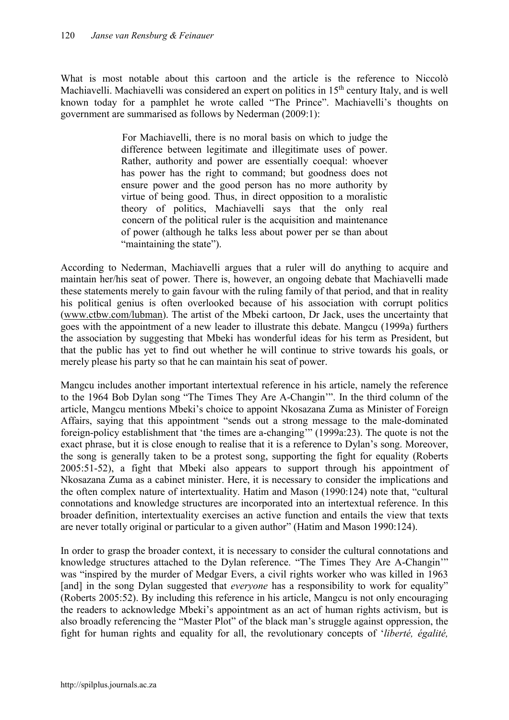What is most notable about this cartoon and the article is the reference to Niccolò Machiavelli. Machiavelli was considered an expert on politics in 15<sup>th</sup> century Italy, and is well known today for a pamphlet he wrote called "The Prince". Machiavelli's thoughts on government are summarised as follows by Nederman (2009:1):

> For Machiavelli, there is no moral basis on which to judge the difference between legitimate and illegitimate uses of power. Rather, authority and power are essentially coequal: whoever has power has the right to command; but goodness does not ensure power and the good person has no more authority by virtue of being good. Thus, in direct opposition to a moralistic theory of politics, Machiavelli says that the only real concern of the political ruler is the acquisition and maintenance of power (although he talks less about power per se than about "maintaining the state").

According to Nederman, Machiavelli argues that a ruler will do anything to acquire and maintain her/his seat of power. There is, however, an ongoing debate that Machiavelli made these statements merely to gain favour with the ruling family of that period, and that in reality his political genius is often overlooked because of his association with corrupt politics ([www.ctbw.com/lubman](http://www.ctbw.com/lubman)). The artist of the Mbeki cartoon, Dr Jack, uses the uncertainty that goes with the appointment of a new leader to illustrate this debate. Mangcu (1999a) furthers the association by suggesting that Mbeki has wonderful ideas for his term as President, but that the public has yet to find out whether he will continue to strive towards his goals, or merely please his party so that he can maintain his seat of power.

Mangcu includes another important intertextual reference in his article, namely the reference to the 1964 Bob Dylan song "The Times They Are A-Changin'". In the third column of the article, Mangcu mentions Mbeki's choice to appoint Nkosazana Zuma as Minister of Foreign Affairs, saying that this appointment "sends out a strong message to the male-dominated foreign-policy establishment that 'the times are a-changing'" (1999a:23). The quote is not the exact phrase, but it is close enough to realise that it is a reference to Dylan's song. Moreover, the song is generally taken to be a protest song, supporting the fight for equality (Roberts 2005:51-52), a fight that Mbeki also appears to support through his appointment of Nkosazana Zuma as a cabinet minister. Here, it is necessary to consider the implications and the often complex nature of intertextuality. Hatim and Mason (1990:124) note that, "cultural connotations and knowledge structures are incorporated into an intertextual reference. In this broader definition, intertextuality exercises an active function and entails the view that texts are never totally original or particular to a given author" (Hatim and Mason 1990:124).

In order to grasp the broader context, it is necessary to consider the cultural connotations and knowledge structures attached to the Dylan reference. "The Times They Are A-Changin'" was "inspired by the murder of Medgar Evers, a civil rights worker who was killed in 1963 [and] in the song Dylan suggested that *everyone* has a responsibility to work for equality" (Roberts 2005:52). By including this reference in his article, Mangcu is not only encouraging the readers to acknowledge Mbeki's appointment as an act of human rights activism, but is also broadly referencing the "Master Plot" of the black man's struggle against oppression, the fight for human rights and equality for all, the revolutionary concepts of '*liberté, égalité,*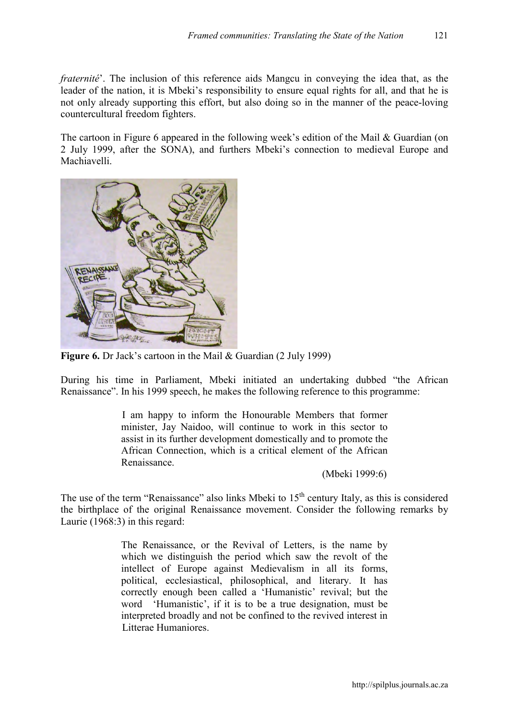*fraternité*'. The inclusion of this reference aids Mangcu in conveying the idea that, as the leader of the nation, it is Mbeki's responsibility to ensure equal rights for all, and that he is not only already supporting this effort, but also doing so in the manner of the peace-loving countercultural freedom fighters.

The cartoon in Figure 6 appeared in the following week's edition of the Mail & Guardian (on 2 July 1999, after the SONA), and furthers Mbeki's connection to medieval Europe and Machiavelli.



Figure 6. Dr Jack's cartoon in the Mail & Guardian (2 July 1999)

During his time in Parliament, Mbeki initiated an undertaking dubbed "the African Renaissance". In his 1999 speech, he makes the following reference to this programme:

> I am happy to inform the Honourable Members that former minister, Jay Naidoo, will continue to work in this sector to assist in its further development domestically and to promote the African Connection, which is a critical element of the African Renaissance.

> > (Mbeki 1999:6)

The use of the term "Renaissance" also links Mbeki to 15<sup>th</sup> century Italy, as this is considered the birthplace of the original Renaissance movement. Consider the following remarks by Laurie (1968:3) in this regard:

> The Renaissance, or the Revival of Letters, is the name by which we distinguish the period which saw the revolt of the intellect of Europe against Medievalism in all its forms, political, ecclesiastical, philosophical, and literary. It has correctly enough been called a 'Humanistic' revival; but the word 'Humanistic', if it is to be a true designation, must be interpreted broadly and not be confined to the revived interest in Litterae Humaniores.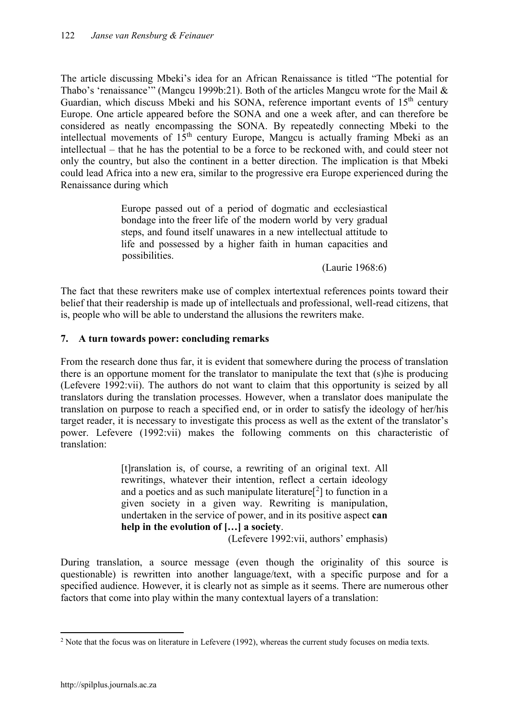The article discussing Mbeki's idea for an African Renaissance is titled "The potential for Thabo's 'renaissance'" (Mangcu 1999b:21). Both of the articles Mangcu wrote for the Mail & Guardian, which discuss Mbeki and his SONA, reference important events of  $15<sup>th</sup>$  century Europe. One article appeared before the SONA and one a week after, and can therefore be considered as neatly encompassing the SONA. By repeatedly connecting Mbeki to the intellectual movements of  $15<sup>th</sup>$  century Europe, Mangcu is actually framing Mbeki as an intellectual – that he has the potential to be a force to be reckoned with, and could steer not only the country, but also the continent in a better direction. The implication is that Mbeki could lead Africa into a new era, similar to the progressive era Europe experienced during the Renaissance during which

> Europe passed out of a period of dogmatic and ecclesiastical bondage into the freer life of the modern world by very gradual steps, and found itself unawares in a new intellectual attitude to life and possessed by a higher faith in human capacities and possibilities.

> > (Laurie 1968:6)

The fact that these rewriters make use of complex intertextual references points toward their belief that their readership is made up of intellectuals and professional, well-read citizens, that is, people who will be able to understand the allusions the rewriters make.

# 7. A turn towards power: concluding remarks

From the research done thus far, it is evident that somewhere during the process of translation there is an opportune moment for the translator to manipulate the text that (s)he is producing (Lefevere 1992:vii). The authors do not want to claim that this opportunity is seized by all translators during the translation processes. However, when a translator does manipulate the translation on purpose to reach a specified end, or in order to satisfy the ideology of her/his target reader, it is necessary to investigate this process as well as the extent of the translator's power. Lefevere (1992:vii) makes the following comments on this characteristic of translation:

> [t]ranslation is, of course, a rewriting of an original text. All rewritings, whatever their intention, reflect a certain ideology and a poetics and as such manipulate literature $[2]$  to function in a given society in a given way. Rewriting is manipulation, undertaken in the service of power, and in its positive aspect can help in the evolution of […] a society.

(Lefevere 1992:vii, authors' emphasis)

During translation, a source message (even though the originality of this source is questionable) is rewritten into another language/text, with a specific purpose and for a specified audience. However, it is clearly not as simple as it seems. There are numerous other factors that come into play within the many contextual layers of a translation:

 $\overline{a}$ <sup>2</sup> Note that the focus was on literature in Lefevere (1992), whereas the current study focuses on media texts.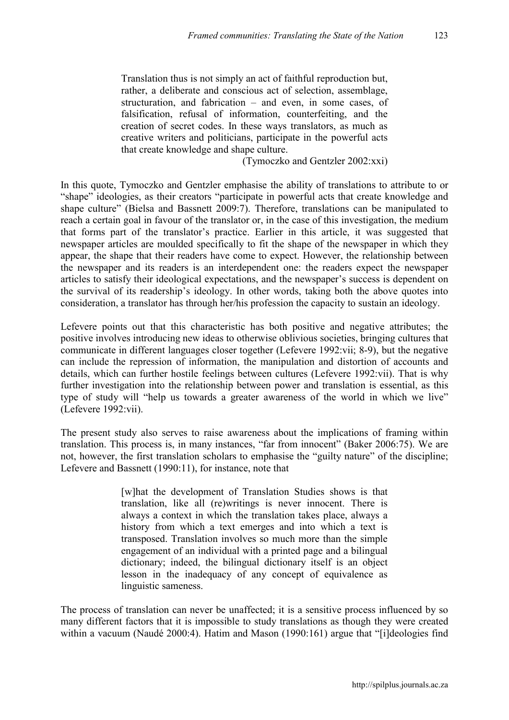Translation thus is not simply an act of faithful reproduction but, rather, a deliberate and conscious act of selection, assemblage, structuration, and fabrication – and even, in some cases, of falsification, refusal of information, counterfeiting, and the creation of secret codes. In these ways translators, as much as creative writers and politicians, participate in the powerful acts that create knowledge and shape culture.

(Tymoczko and Gentzler 2002:xxi)

In this quote, Tymoczko and Gentzler emphasise the ability of translations to attribute to or "shape" ideologies, as their creators "participate in powerful acts that create knowledge and shape culture" (Bielsa and Bassnett 2009:7). Therefore, translations can be manipulated to reach a certain goal in favour of the translator or, in the case of this investigation, the medium that forms part of the translator's practice. Earlier in this article, it was suggested that newspaper articles are moulded specifically to fit the shape of the newspaper in which they appear, the shape that their readers have come to expect. However, the relationship between the newspaper and its readers is an interdependent one: the readers expect the newspaper articles to satisfy their ideological expectations, and the newspaper's success is dependent on the survival of its readership's ideology. In other words, taking both the above quotes into consideration, a translator has through her/his profession the capacity to sustain an ideology.

Lefevere points out that this characteristic has both positive and negative attributes; the positive involves introducing new ideas to otherwise oblivious societies, bringing cultures that communicate in different languages closer together (Lefevere 1992:vii; 8-9), but the negative can include the repression of information, the manipulation and distortion of accounts and details, which can further hostile feelings between cultures (Lefevere 1992:vii). That is why further investigation into the relationship between power and translation is essential, as this type of study will "help us towards a greater awareness of the world in which we live" (Lefevere 1992:vii).

The present study also serves to raise awareness about the implications of framing within translation. This process is, in many instances, "far from innocent" (Baker 2006:75). We are not, however, the first translation scholars to emphasise the "guilty nature" of the discipline; Lefevere and Bassnett (1990:11), for instance, note that

> [w]hat the development of Translation Studies shows is that translation, like all (re)writings is never innocent. There is always a context in which the translation takes place, always a history from which a text emerges and into which a text is transposed. Translation involves so much more than the simple engagement of an individual with a printed page and a bilingual dictionary; indeed, the bilingual dictionary itself is an object lesson in the inadequacy of any concept of equivalence as linguistic sameness.

The process of translation can never be unaffected; it is a sensitive process influenced by so many different factors that it is impossible to study translations as though they were created within a vacuum (Naudé 2000:4). Hatim and Mason (1990:161) argue that "[i]deologies find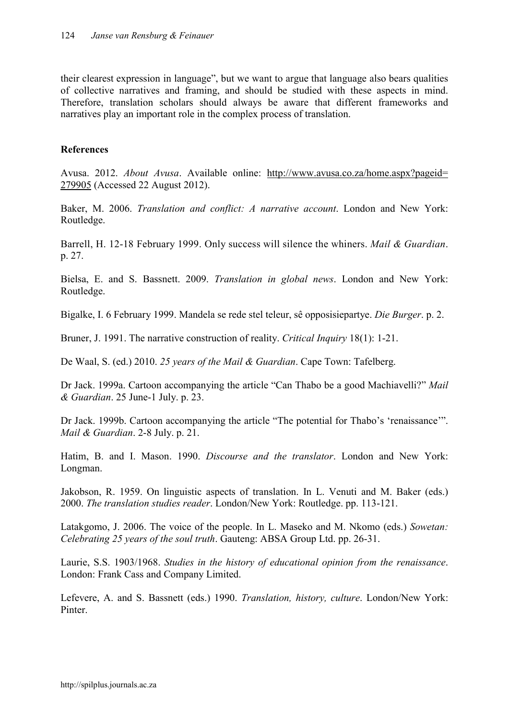their clearest expression in language", but we want to argue that language also bears qualities of collective narratives and framing, and should be studied with these aspects in mind. Therefore, translation scholars should always be aware that different frameworks and narratives play an important role in the complex process of translation.

# References

Avusa. 2012. *About Avusa*. Available online: [http://www.avusa.co.za/home.aspx?pageid=](http://www.avusa.co.za/home.aspx?pageid=%20279905)  [279905](http://www.avusa.co.za/home.aspx?pageid=%20279905) (Accessed 22 August 2012).

Baker, M. 2006. *Translation and conflict: A narrative account*. London and New York: Routledge.

Barrell, H. 12-18 February 1999. Only success will silence the whiners. *Mail & Guardian*. p. 27.

Bielsa, E. and S. Bassnett. 2009. *Translation in global news*. London and New York: Routledge.

Bigalke, I. 6 February 1999. Mandela se rede stel teleur, sê opposisiepartye. *Die Burger*. p. 2.

Bruner, J. 1991. The narrative construction of reality. *Critical Inquiry* 18(1): 1-21.

De Waal, S. (ed.) 2010. *25 years of the Mail & Guardian*. Cape Town: Tafelberg.

Dr Jack. 1999a. Cartoon accompanying the article "Can Thabo be a good Machiavelli?" *Mail & Guardian*. 25 June-1 July. p. 23.

Dr Jack. 1999b. Cartoon accompanying the article "The potential for Thabo's 'renaissance'". *Mail & Guardian*. 2-8 July. p. 21.

Hatim, B. and I. Mason. 1990. *Discourse and the translator*. London and New York: Longman.

Jakobson, R. 1959. On linguistic aspects of translation. In L. Venuti and M. Baker (eds.) 2000. *The translation studies reader*. London/New York: Routledge. pp. 113-121.

Latakgomo, J. 2006. The voice of the people. In L. Maseko and M. Nkomo (eds.) *Sowetan: Celebrating 25 years of the soul truth*. Gauteng: ABSA Group Ltd. pp. 26-31.

Laurie, S.S. 1903/1968. *Studies in the history of educational opinion from the renaissance*. London: Frank Cass and Company Limited.

Lefevere, A. and S. Bassnett (eds.) 1990. *Translation, history, culture*. London/New York: Pinter.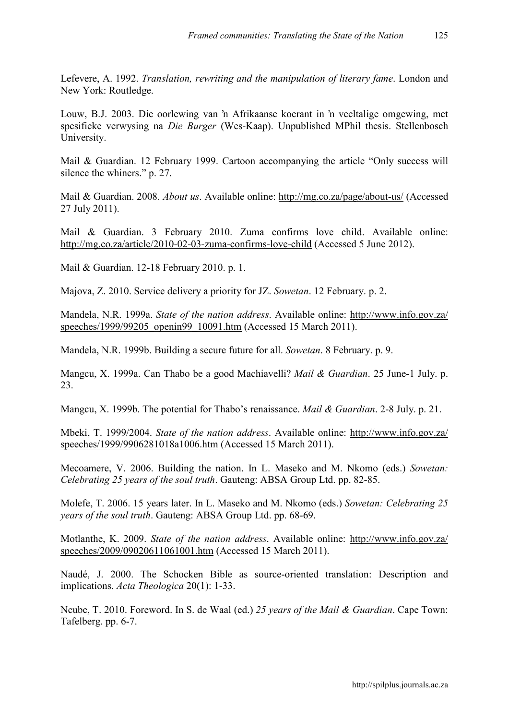Lefevere, A. 1992. *Translation, rewriting and the manipulation of literary fame*. London and New York: Routledge.

Louw, B.J. 2003. Die oorlewing van 'n Afrikaanse koerant in 'n veeltalige omgewing, met spesifieke verwysing na *Die Burger* (Wes-Kaap). Unpublished MPhil thesis. Stellenbosch University.

Mail & Guardian. 12 February 1999. Cartoon accompanying the article "Only success will silence the whiners." p. 27.

Mail & Guardian. 2008. *About us*. Available online: <http://mg.co.za/page/about-us/>(Accessed 27 July 2011).

Mail & Guardian. 3 February 2010. Zuma confirms love child. Available online: <http://mg.co.za/article/2010-02-03-zuma-confirms-love-child>(Accessed 5 June 2012).

Mail & Guardian. 12-18 February 2010. p. 1.

Majova, Z. 2010. Service delivery a priority for JZ. *Sowetan*. 12 February. p. 2.

Mandela, N.R. 1999a. *State of the nation address*. Available online: [http://www.info.gov.za/](http://www.info.gov.za/ speeches/1999/99205_openin99_10091.htm)  [speeches/1999/99205\\_openin99\\_10091.htm](http://www.info.gov.za/ speeches/1999/99205_openin99_10091.htm) (Accessed 15 March 2011).

Mandela, N.R. 1999b. Building a secure future for all. *Sowetan*. 8 February. p. 9.

Mangcu, X. 1999a. Can Thabo be a good Machiavelli? *Mail & Guardian*. 25 June-1 July. p. 23.

Mangcu, X. 1999b. The potential for Thabo's renaissance. *Mail & Guardian*. 2-8 July. p. 21.

Mbeki, T. 1999/2004. *State of the nation address*. Available online: [http://www.info.gov.za/](http://www.info.gov.za/ speeches/1999/9906281018a1006.htm)  [speeches/1999/9906281018a1006.htm](http://www.info.gov.za/ speeches/1999/9906281018a1006.htm) (Accessed 15 March 2011).

Mecoamere, V. 2006. Building the nation. In L. Maseko and M. Nkomo (eds.) *Sowetan: Celebrating 25 years of the soul truth*. Gauteng: ABSA Group Ltd. pp. 82-85.

Molefe, T. 2006. 15 years later. In L. Maseko and M. Nkomo (eds.) *Sowetan: Celebrating 25 years of the soul truth*. Gauteng: ABSA Group Ltd. pp. 68-69.

Motlanthe, K. 2009. *State of the nation address*. Available online: [http://www.info.gov.za/](http://www.info.gov.za/ speeches/2009/09020611061001.htm)  [speeches/2009/09020611061001.htm](http://www.info.gov.za/ speeches/2009/09020611061001.htm) (Accessed 15 March 2011).

Naudé, J. 2000. The Schocken Bible as source-oriented translation: Description and implications. *Acta Theologica* 20(1): 1-33.

Ncube, T. 2010. Foreword. In S. de Waal (ed.) *25 years of the Mail & Guardian*. Cape Town: Tafelberg. pp. 6-7.